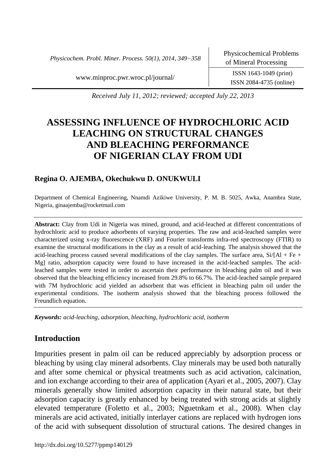*Physicochem. Probl. Miner. Process. 50(1), 2014, 349−358*

ISSN 2084-4735 (online)

[www.minproc.pwr.wroc.pl/journal/](http://www.minproc.pwr.wroc.pl/journal/) ISSN 1643-1049 (print)

*Received July 11, 2012; reviewed; accepted July 22, 2013*

# **ASSESSING INFLUENCE OF HYDROCHLORIC ACID LEACHING ON STRUCTURAL CHANGES AND BLEACHING PERFORMANCE OF NIGERIAN CLAY FROM UDI**

## **Regina O. AJEMBA, Okechukwu D. ONUKWULI**

Department of Chemical Engineering, Nnamdi Azikiwe University, P. M. B. 5025, Awka, Anambra State, Nigeria, ginaajemba@rocketmail.com

**Abstract:** Clay from Udi in Nigeria was mined, ground, and acid-leached at different concentrations of hydrochloric acid to produce adsorbents of varying properties. The raw and acid-leached samples were characterized using x-ray fluorescence (XRF) and Fourier transforms infra-red spectroscopy (FTIR) to examine the structural modifications in the clay as a result of acid-leaching. The analysis showed that the acid-leaching process caused several modifications of the clay samples. The surface area,  $Si/[Al + Fe +$ Mg] ratio, adsorption capacity were found to have increased in the acid-leached samples. The acidleached samples were tested in order to ascertain their performance in bleaching palm oil and it was observed that the bleaching efficiency increased from 29.8% to 66.7%. The acid-leached sample prepared with 7M hydrochloric acid yielded an adsorbent that was efficient in bleaching palm oil under the experimental conditions. The isotherm analysis showed that the bleaching process followed the Freundlich equation.

*Keywords: acid-leaching, adsorption, bleaching, hydrochloric acid, isotherm*

# **Introduction**

Impurities present in palm oil can be reduced appreciably by adsorption process or bleaching by using clay mineral adsorbents. Clay minerals may be used both naturally and after some chemical or physical treatments such as acid activation, calcination, and ion exchange according to their area of application (Ayari et al., 2005, 2007). Clay minerals generally show limited adsorption capacity in their natural state, but their adsorption capacity is greatly enhanced by being treated with strong acids at slightly elevated temperature (Foletto et al., 2003; Nguetnkam et al., 2008). When clay minerals are acid activated, initially interlayer cations are replaced with hydrogen ions of the acid with subsequent dissolution of structural cations. The desired changes in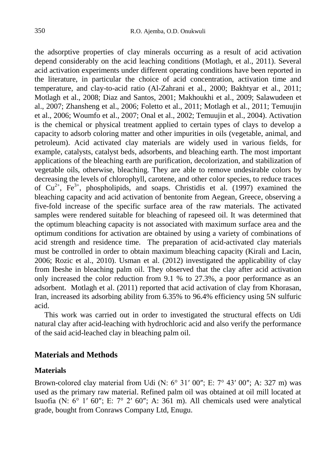the adsorptive properties of clay minerals occurring as a result of acid activation depend considerably on the acid leaching conditions (Motlagh, et al., 2011). Several acid activation experiments under different operating conditions have been reported in the literature, in particular the choice of acid concentration, activation time and temperature, and clay-to-acid ratio (Al-Zahrani et al., 2000; Bakhtyar et al., 2011; Motlagh et al., 2008; Diaz and Santos, 2001; Makhoukhi et al., 2009; Salawudeen et al., 2007; Zhansheng et al., 2006; Foletto et al., 2011; Motlagh et al., 2011; Temuujin et al., 2006; Woumfo et al., 2007; Onal et al., 2002; Temuujin et al., 2004). Activation is the chemical or physical treatment applied to certain types of clays to develop a capacity to adsorb coloring matter and other impurities in oils (vegetable, animal, and petroleum). Acid activated clay materials are widely used in various fields, for example, catalysts, catalyst beds, adsorbents, and bleaching earth. The most important applications of the bleaching earth are purification, decolorization, and stabilization of vegetable oils, otherwise, bleaching. They are able to remove undesirable colors by decreasing the levels of chlorophyll, carotene, and other color species, to reduce traces of  $Cu^{2+}$ ,  $Fe^{3+}$ , phospholipids, and soaps. Christidis et al. (1997) examined the bleaching capacity and acid activation of bentonite from Aegean, Greece, observing a five-fold increase of the specific surface area of the raw materials. The activated samples were rendered suitable for bleaching of rapeseed oil. It was determined that the optimum bleaching capacity is not associated with maximum surface area and the optimum conditions for activation are obtained by using a variety of combinations of acid strength and residence time. The preparation of acid-activated clay materials must be controlled in order to obtain maximum bleaching capacity (Kirali and Lacin, 2006; Rozic et al., 2010). Usman et al. (2012) investigated the applicability of clay from Ibeshe in bleaching palm oil. They observed that the clay after acid activation only increased the color reduction from 9.1 % to 27.3%, a poor performance as an adsorbent. Motlagh et al. (2011) reported that acid activation of clay from Khorasan, Iran, increased its adsorbing ability from 6.35% to 96.4% efficiency using 5N sulfuric acid.

This work was carried out in order to investigated the structural effects on Udi natural clay after acid-leaching with hydrochloric acid and also verify the performance of the said acid-leached clay in bleaching palm oil.

## **Materials and Methods**

## **Materials**

Brown-colored clay material from Udi (N:  $6^{\circ}$  31' 00"; E:  $7^{\circ}$  43' 00"; A: 327 m) was used as the primary raw material. Refined palm oil was obtained at oil mill located at Isuofia (N:  $6^{\circ}$  1'  $60''$ ; E:  $7^{\circ}$  2'  $60''$ ; A:  $361$  m). All chemicals used were analytical grade, bought from Conraws Company Ltd, Enugu.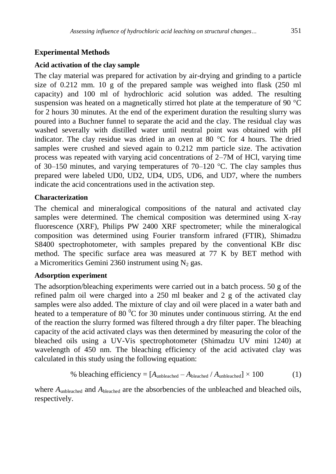# **Experimental Methods**

## **Acid activation of the clay sample**

The clay material was prepared for activation by air-drying and grinding to a particle size of 0.212 mm. 10 g of the prepared sample was weighed into flask (250 ml capacity) and 100 ml of hydrochloric acid solution was added. The resulting suspension was heated on a magnetically stirred hot plate at the temperature of 90 °C for 2 hours 30 minutes. At the end of the experiment duration the resulting slurry was poured into a Buchner funnel to separate the acid and the clay. The residual clay was washed severally with distilled water until neutral point was obtained with pH indicator. The clay residue was dried in an oven at 80 °C for 4 hours. The dried samples were crushed and sieved again to 0.212 mm particle size. The activation process was repeated with varying acid concentrations of 2–7M of HCl, varying time of 30–150 minutes, and varying temperatures of 70–120  $^{\circ}$ C. The clay samples thus prepared were labeled UD0, UD2, UD4, UD5, UD6, and UD7, where the numbers indicate the acid concentrations used in the activation step.

# **Characterization**

The chemical and mineralogical compositions of the natural and activated clay samples were determined. The chemical composition was determined using X-ray fluorescence (XRF), Philips PW 2400 XRF spectrometer; while the mineralogical composition was determined using Fourier transform infrared (FTIR), Shimadzu S8400 spectrophotometer, with samples prepared by the conventional KBr disc method. The specific surface area was measured at 77 K by BET method with a Micromeritics Gemini 2360 instrument using  $N_2$  gas.

# **Adsorption experiment**

The adsorption/bleaching experiments were carried out in a batch process. 50 g of the refined palm oil were charged into a 250 ml beaker and 2 g of the activated clay samples were also added. The mixture of clay and oil were placed in a water bath and heated to a temperature of 80 $\mathrm{^{0}C}$  for 30 minutes under continuous stirring. At the end of the reaction the slurry formed was filtered through a dry filter paper. The bleaching capacity of the acid activated clays was then determined by measuring the color of the bleached oils using a UV-Vis spectrophotometer (Shimadzu UV mini 1240) at wavelength of 450 nm. The bleaching efficiency of the acid activated clay was calculated in this study using the following equation:

% bleaching efficiency = 
$$
[A_{\text{unbleached}} - A_{\text{bleached}} / A_{\text{unbleached}}] \times 100
$$
 (1)

where  $A_{\text{unbleached}}$  and  $A_{\text{bleached}}$  are the absorbencies of the unbleached and bleached oils, respectively.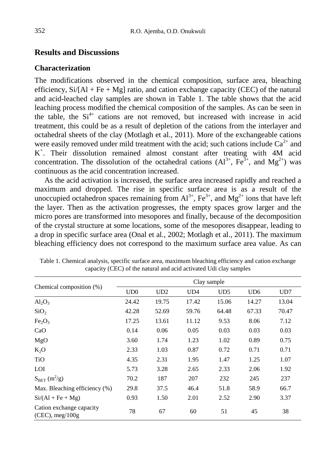## **Results and Discussions**

#### **Characterization**

The modifications observed in the chemical composition, surface area, bleaching efficiency,  $Si/[Al + Fe + Mg]$  ratio, and cation exchange capacity (CEC) of the natural and acid-leached clay samples are shown in Table 1. The table shows that the acid leaching process modified the chemical composition of the samples. As can be seen in the table, the  $Si<sup>4+</sup>$  cations are not removed, but increased with increase in acid treatment, this could be as a result of depletion of the cations from the interlayer and octahedral sheets of the clay (Motlagh et al., 2011). More of the exchangeable cations were easily removed under mild treatment with the acid; such cations include  $Ca^{2+}$  and K + . Their dissolution remained almost constant after treating with 4M acid concentration. The dissolution of the octahedral cations  $(Al^{3+}, Fe^{3+}, and Mg^{2+})$  was continuous as the acid concentration increased.

As the acid activation is increased, the surface area increased rapidly and reached a maximum and dropped. The rise in specific surface area is as a result of the unoccupied octahedron spaces remaining from  $Al^{3+}$ ,  $Fe^{3+}$ , and  $Mg^{2+}$  ions that have left the layer. Then as the activation progresses, the empty spaces grow larger and the micro pores are transformed into mesopores and finally, because of the decomposition of the crystal structure at some locations, some of the mesopores disappear, leading to a drop in specific surface area (Onal et al., 2002; Motlagh et al., 2011). The maximum bleaching efficiency does not correspond to the maximum surface area value. As can

|                                                   | Clay sample |       |       |       |                 |       |  |  |
|---------------------------------------------------|-------------|-------|-------|-------|-----------------|-------|--|--|
| Chemical composition (%)                          | UD0         | UD2   | UD4   | UD5   | UD <sub>6</sub> | UD7   |  |  |
| $Al_2O_3$                                         | 24.42       | 19.75 | 17.42 | 15.06 | 14.27           | 13.04 |  |  |
| SiO <sub>2</sub>                                  | 42.28       | 52.69 | 59.76 | 64.48 | 67.33           | 70.47 |  |  |
| Fe <sub>2</sub> O <sub>3</sub>                    | 17.25       | 13.61 | 11.12 | 9.53  | 8.06            | 7.12  |  |  |
| CaO                                               | 0.14        | 0.06  | 0.05  | 0.03  | 0.03            | 0.03  |  |  |
| MgO                                               | 3.60        | 1.74  | 1.23  | 1.02  | 0.89            | 0.75  |  |  |
| $K_2O$                                            | 2.33        | 1.03  | 0.87  | 0.72  | 0.71            | 0.71  |  |  |
| <b>TiO</b>                                        | 4.35        | 2.31  | 1.95  | 1.47  | 1.25            | 1.07  |  |  |
| <b>LOI</b>                                        | 5.73        | 3.28  | 2.65  | 2.33  | 2.06            | 1.92  |  |  |
| $S_{BET}(m^2/g)$                                  | 70.2        | 187   | 207   | 232   | 245             | 237   |  |  |
| Max. Bleaching efficiency (%)                     | 29.8        | 37.5  | 46.4  | 51.8  | 58.9            | 66.7  |  |  |
| $Si/(Al + Fe + Mg)$                               | 0.93        | 1.50  | 2.01  | 2.52  | 2.90            | 3.37  |  |  |
| Cation exchange capacity<br>$(CEC)$ , meg/ $100g$ | 78          | 67    | 60    | 51    | 45              | 38    |  |  |

Table 1. Chemical analysis, specific surface area, maximum bleaching efficiency and cation exchange capacity (CEC) of the natural and acid activated Udi clay samples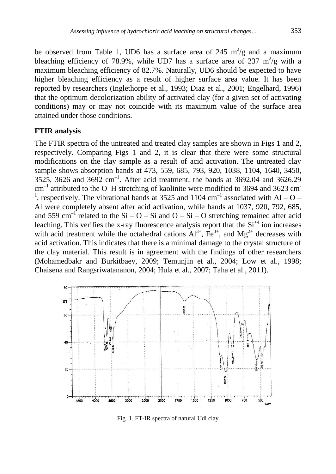be observed from Table 1, UD6 has a surface area of 245  $m^2/g$  and a maximum bleaching efficiency of 78.9%, while UD7 has a surface area of 237  $m^2/g$  with a maximum bleaching efficiency of 82.7%. Naturally, UD6 should be expected to have higher bleaching efficiency as a result of higher surface area value. It has been reported by researchers (Inglethorpe et al., 1993; Diaz et al., 2001; Engelhard, 1996) that the optimum decolorization ability of activated clay (for a given set of activating conditions) may or may not coincide with its maximum value of the surface area attained under those conditions.

## **FTIR analysis**

The FTIR spectra of the untreated and treated clay samples are shown in Figs 1 and 2, respectively. Comparing Figs 1 and 2, it is clear that there were some structural modifications on the clay sample as a result of acid activation. The untreated clay sample shows absorption bands at 473, 559, 685, 793, 920, 1038, 1104, 1640, 3450, 3525, 3626 and 3692  $cm^{-1}$ . After acid treatment, the bands at 3692.04 and 3626.29  $cm^{-1}$  attributed to the O–H stretching of kaolinite were modified to 3694 and 3623 cm <sup>1</sup>, respectively. The vibrational bands at 3525 and 1104  $\text{cm}^{-1}$  associated with Al – O – Al were completely absent after acid activation, while bands at 1037, 920, 792, 685, and 559 cm<sup>-1</sup> related to the Si – O – Si and O – Si – O stretching remained after acid leaching. This verifies the x-ray fluorescence analysis report that the  $Si<sup>+4</sup>$  ion increases with acid treatment while the octahedral cations  $Al^{3+}$ ,  $Fe^{3+}$ , and  $Mg^{2+}$  decreases with acid activation. This indicates that there is a minimal damage to the crystal structure of the clay material. This result is in agreement with the findings of other researchers (Mohamedbakr and Burkitbaev, 2009; Temunjin et al., 2004; Low et al., 1998; Chaisena and Rangsriwatananon, 2004; Hula et al., 2007; Taha et al., 2011).



Fig. 1. FT-IR spectra of natural Udi clay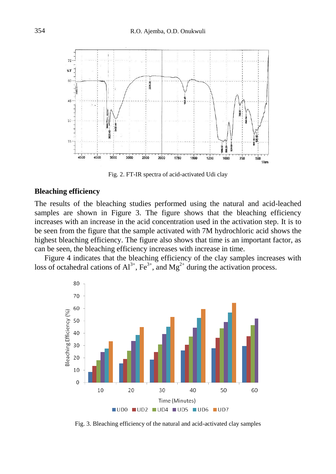

Fig. 2. FT-IR spectra of acid-activated Udi clay

#### **Bleaching efficiency**

The results of the bleaching studies performed using the natural and acid-leached samples are shown in Figure 3. The figure shows that the bleaching efficiency increases with an increase in the acid concentration used in the activation step. It is to be seen from the figure that the sample activated with 7M hydrochloric acid shows the highest bleaching efficiency. The figure also shows that time is an important factor, as can be seen, the bleaching efficiency increases with increase in time.

Figure 4 indicates that the bleaching efficiency of the clay samples increases with loss of octahedral cations of  $Al^{3+}$ ,  $Fe^{3+}$ , and  $Mg^{2+}$  during the activation process.



Fig. 3. Bleaching efficiency of the natural and acid-activated clay samples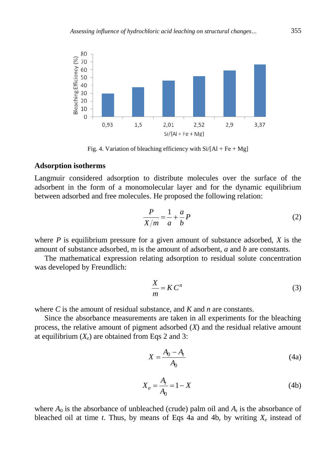

Fig. 4. Variation of bleaching efficiency with  $Si/[Al + Fe + Mg]$ 

#### **Adsorption isotherms**

Langmuir considered adsorption to distribute molecules over the surface of the adsorbent in the form of a monomolecular layer and for the dynamic equilibrium between adsorbed and free molecules. He proposed the following relation:

$$
\frac{P}{X/m} = \frac{1}{a} + \frac{a}{b}P\tag{2}
$$

where *P* is equilibrium pressure for a given amount of substance adsorbed, *X* is the amount of substance adsorbed, m is the amount of adsorbent, *a* and *b* are constants.

The mathematical expression relating adsorption to residual solute concentration was developed by Freundlich:

$$
\frac{X}{m} = K C^n \tag{3}
$$

where *C* is the amount of residual substance, and *K* and *n* are constants.

Since the absorbance measurements are taken in all experiments for the bleaching process, the relative amount of pigment adsorbed (*X*) and the residual relative amount at equilibrium  $(X_e)$  are obtained from Eqs 2 and 3:

$$
X = \frac{A_0 - A_t}{A_0} \tag{4a}
$$

$$
X_e = \frac{A_t}{A_0} = 1 - X \tag{4b}
$$

where  $A_0$  is the absorbance of unbleached (crude) palm oil and  $A_t$  is the absorbance of bleached oil at time *t*. Thus, by means of Eqs 4a and 4b, by writing  $X_e$  instead of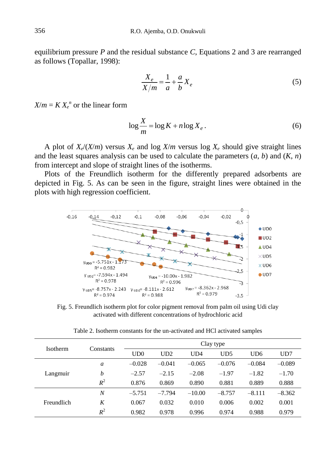equilibrium pressure *P* and the residual substance *C*, Equations 2 and 3 are rearranged as follows (Topallar, 1998):

$$
\frac{X_e}{X/m} = \frac{1}{a} + \frac{a}{b} X_e
$$
\n<sup>(5)</sup>

 $X/m = K X_e^{\{n\}}$  or the linear form

$$
\log \frac{X}{m} = \log K + n \log X_e. \tag{6}
$$

A plot of  $X_e/(X/m)$  versus  $X_e$  and log  $X/m$  versus log  $X_e$  should give straight lines and the least squares analysis can be used to calculate the parameters (*a*, *b*) and (*K*, *n*) from intercept and slope of straight lines of the isotherms.

Plots of the Freundlich isotherm for the differently prepared adsorbents are depicted in Fig. 5. As can be seen in the figure, straight lines were obtained in the plots with high regression coefficient.



Fig. 5. Freundlich isotherm plot for color pigment removal from palm oil using Udi clay activated with different concentrations of hydrochloric acid

Table 2. Isotherm constants for the un-activated and HCl activated samples

| <b>Isotherm</b> | Constants        | Clay type |          |          |          |                 |          |  |
|-----------------|------------------|-----------|----------|----------|----------|-----------------|----------|--|
|                 |                  | UD0       | UD2      | UD4      | UD5      | UD <sub>6</sub> | UD7      |  |
| Langmuir        | a                | $-0.028$  | $-0.041$ | $-0.065$ | $-0.076$ | $-0.084$        | $-0.089$ |  |
|                 | b                | $-2.57$   | $-2.15$  | $-2.08$  | $-1.97$  | $-1.82$         | $-1.70$  |  |
|                 | $R^2$            | 0.876     | 0.869    | 0.890    | 0.881    | 0.889           | 0.888    |  |
| Freundlich      | $\boldsymbol{N}$ | $-5.751$  | $-7.794$ | $-10.00$ | $-8.757$ | $-8.111$        | $-8.362$ |  |
|                 | K                | 0.067     | 0.032    | 0.010    | 0.006    | 0.002           | 0.001    |  |
|                 | $R^2$            | 0.982     | 0.978    | 0.996    | 0.974    | 0.988           | 0.979    |  |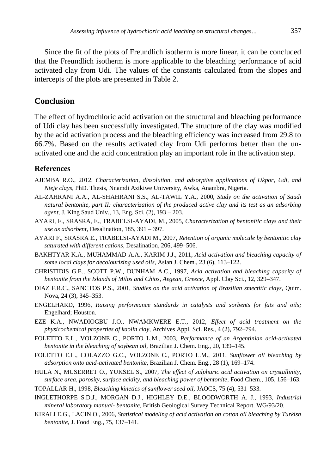Since the fit of the plots of Freundlich isotherm is more linear, it can be concluded that the Freundlich isotherm is more applicable to the bleaching performance of acid activated clay from Udi. The values of the constants calculated from the slopes and intercepts of the plots are presented in Table 2.

## **Conclusion**

The effect of hydrochloric acid activation on the structural and bleaching performance of Udi clay has been successfully investigated. The structure of the clay was modified by the acid activation process and the bleaching efficiency was increased from 29.8 to 66.7%. Based on the results activated clay from Udi performs better than the unactivated one and the acid concentration play an important role in the activation step.

#### **References**

- AJEMBA R.O., 2012, *Characterization, dissolution, and adsorptive applications of Ukpor, Udi, and Nteje clays,* PhD. Thesis, Nnamdi Azikiwe University, Awka, Anambra, Nigeria.
- AL-ZAHRANI A.A., AL-SHAHRANI S.S., AL-TAWIL Y.A., 2000, *Study on the activation of Saudi natural bentonite, part II: characterization of the produced active clay and its test as an adsorbing agent,* J. King Saud Univ., 13, Eng. Sci. (2), 193 – 203.
- AYARI, F., SRASRA, E., TRABELSI-AYADI, M., 2005, *Characterization of bentonitic clays and their use as adsorbent,* Desalination, 185, 391 – 397.
- AYARI F., SRASRA E., TRABELSI-AYADI M., 2007, *Retention of organic molecule by bentonitic clay saturated with different cations,* Desalination, 206, 499–506.
- BAKHTYAR K.A., MUHAMMAD A.A., KARIM J.J., 2011, *Acid activation and bleaching capacity of some local clays for decolourizing used oils,* Asian J. Chem., 23 (6), 113–122.
- CHRISTIDIS G.E., SCOTT P.W., DUNHAM A.C., 1997, *Acid activation and bleaching capacity of bentonite from the Islands of Milos and Chios, Aegean, Greece,* Appl. Clay Sci., 12, 329–347.
- DIAZ F.R.C., SANCTOS P.S., 2001, *Studies on the acid activation of Brazilian smectitic clays,* Quim. Nova, 24 (3), 345–353.
- ENGELHARD, 1996, *Raising performance standards in catalysts and sorbents for fats and oils;* Engelhard; Houston.
- EZE K.A., NWADIOGBU J.O., NWAMKWERE E.T., 2012, *Effect of acid treatment on the physicochemical properties of kaolin clay,* Archives Appl. Sci. Res., 4 (2), 792–794.
- FOLETTO E.L., VOLZONE C., PORTO L.M., 2003, *Performance of an Argentinian acid-activated bentonite in the bleaching of soybean oil,* Brazilian J. Chem. Eng., 20, 139–145.
- FOLETTO E.L., COLAZZO G.C., VOLZONE C., PORTO L.M., 2011, *Sunflower oil bleaching by adsorption onto acid-activated bentonite,* Brazilian J. Chem. Eng., 28 (1), 169–174.
- HULA N., MUSERRET O., YUKSEL S., 2007, *The effect of sulphuric acid activation on crystallinity, surface area, porosity, surface acidity, and bleaching power of bentonite,* Food Chem., 105, 156–163.
- TOPALLAR H., 1998, *Bleaching kinetics of sunflower seed oil,* JAOCS, 75 (4), 531–533.
- INGLETHORPE S.D.J., MORGAN D.J., HIGHLEY D.E., BLOODWORTH A. J., 1993, *Industrial mineral laboratory manual- bentonite,* British Geological Survey Technical Report. WG/93/20.
- KIRALI E.G., LACIN O., 2006, *Statistical modeling of acid activation on cotton oil bleaching by Turkish bentonite,* J. Food Eng., 75, 137–141.